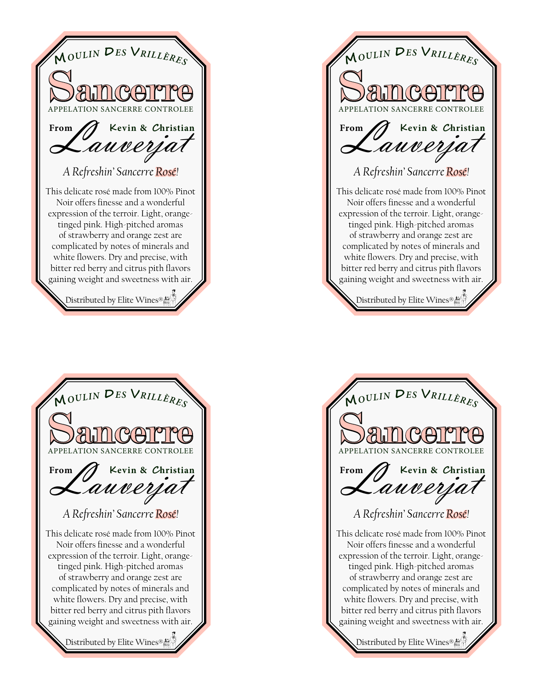



*A Refreshin' Sancerre Rosé!*  **SAILCOITE <sup>M</sup>***OULI<sup>N</sup>* **<sup>D</sup>***E<sup>S</sup>* **<sup>V</sup>***RILLÈRE<sup>S</sup>* Lauverjat **Kevin & Christian** Distributed by Elite Wines® This delicate rosé made from 100% Pinot Noir offers finesse and a wonderful expression of the terroir. Light, orangetinged pink. High-pitched aromas of strawberry and orange zest are complicated by notes of minerals and white flowers. Dry and precise, with bitter red berry and citrus pith flavors gaining weight and sweetness with air. **From**